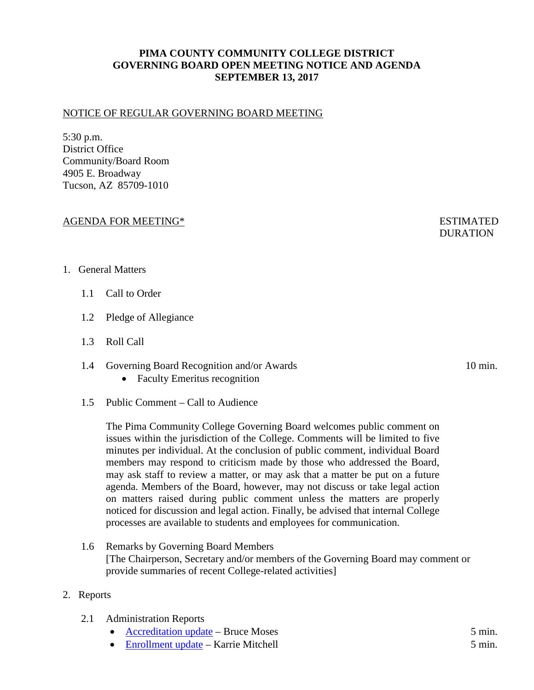# **PIMA COUNTY COMMUNITY COLLEGE DISTRICT GOVERNING BOARD OPEN MEETING NOTICE AND AGENDA SEPTEMBER 13, 2017**

#### NOTICE OF REGULAR GOVERNING BOARD MEETING

5:30 p.m. District Office Community/Board Room 4905 E. Broadway Tucson, AZ 85709-1010

#### AGENDA FOR MEETING\* FOR ESTIMATED

# **DURATION**

#### 1. General Matters

- 1.1 Call to Order
- 1.2 Pledge of Allegiance
- 1.3 Roll Call
- 1.4 Governing Board Recognition and/or Awards 10 min.
	- Faculty Emeritus recognition
- 1.5 Public Comment Call to Audience

The Pima Community College Governing Board welcomes public comment on issues within the jurisdiction of the College. Comments will be limited to five minutes per individual. At the conclusion of public comment, individual Board members may respond to criticism made by those who addressed the Board, may ask staff to review a matter, or may ask that a matter be put on a future agenda. Members of the Board, however, may not discuss or take legal action on matters raised during public comment unless the matters are properly noticed for discussion and legal action. Finally, be advised that internal College processes are available to students and employees for communication.

1.6 Remarks by Governing Board Members [The Chairperson, Secretary and/or members of the Governing Board may comment or provide summaries of recent College-related activities]

#### 2. Reports

- 2.1 Administration Reports
	- [Accreditation update](http://www.pima.edu/meeting-notices-support/2017-docs/201709-13-admin-report-moses-accreditation.pdf) Bruce Moses 5 min.
	- [Enrollment update](http://www.pima.edu/meeting-notices-support/2017-docs/201709-13-admin-report-mitchell_enrollment.pdf) Karrie Mitchell 5 min.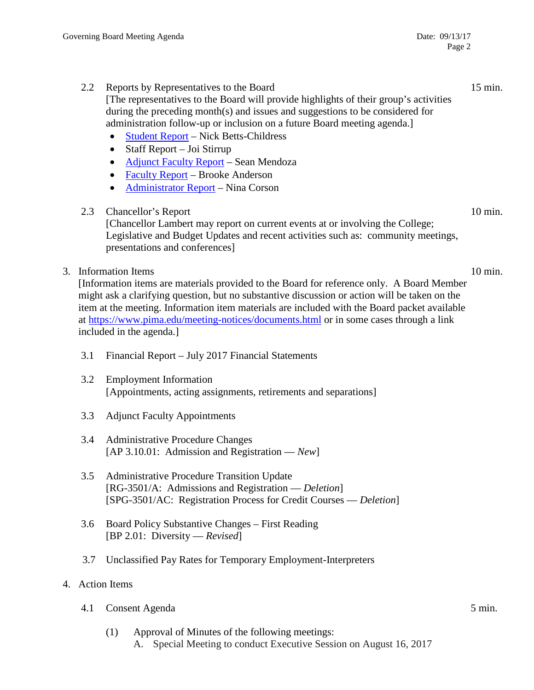2.2 Reports by Representatives to the Board 15 min.

[The representatives to the Board will provide highlights of their group's activities during the preceding month(s) and issues and suggestions to be considered for administration follow-up or inclusion on a future Board meeting agenda.]

- [Student Report](http://www.pima.edu/meeting-notices-support/2017-docs/201709-13-report-student.pdf) Nick Betts-Childress
- Staff Report Joi Stirrup
- [Adjunct Faculty Report](http://www.pima.edu/meeting-notices-support/2017-docs/201709-13-report-adjunct-faculty.pdf) Sean Mendoza
- [Faculty Report](http://www.pima.edu/meeting-notices-support/2017-docs/201709-13-report-faculty.pdf) Brooke Anderson
- [Administrator Report](http://www.pima.edu/meeting-notices-support/2017-docs/201709-13-report-administration.pdf) Nina Corson

# 2.3 Chancellor's Report 10 min.

[Chancellor Lambert may report on current events at or involving the College; Legislative and Budget Updates and recent activities such as: community meetings, presentations and conferences]

3. Information Items 10 min.

[Information items are materials provided to the Board for reference only. A Board Member might ask a clarifying question, but no substantive discussion or action will be taken on the item at the meeting. Information item materials are included with the Board packet available at <https://www.pima.edu/meeting-notices/documents.html> or in some cases through a link included in the agenda.]

- 3.1 Financial Report July 2017 Financial Statements
- 3.2 Employment Information [Appointments, acting assignments, retirements and separations]
- 3.3 Adjunct Faculty Appointments
- 3.4 Administrative Procedure Changes [AP 3.10.01: Admission and Registration — *New*]
- 3.5 Administrative Procedure Transition Update [RG-3501/A: Admissions and Registration — *Deletion*] [SPG-3501/AC: Registration Process for Credit Courses — *Deletion*]
- 3.6 Board Policy Substantive Changes First Reading [BP 2.01: Diversity — *Revised*]
- 3.7 Unclassified Pay Rates for Temporary Employment-Interpreters

# 4. Action Items

4.1 Consent Agenda 5 min.

(1) Approval of Minutes of the following meetings: A. Special Meeting to conduct Executive Session on August 16, 2017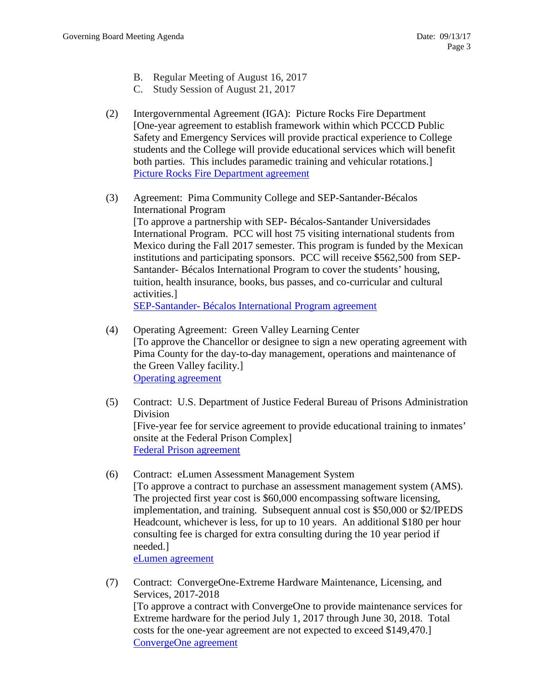- B. Regular Meeting of August 16, 2017
- C. Study Session of August 21, 2017
- (2) Intergovernmental Agreement (IGA): Picture Rocks Fire Department [One-year agreement to establish framework within which PCCCD Public Safety and Emergency Services will provide practical experience to College students and the College will provide educational services which will benefit both parties. This includes paramedic training and vehicular rotations.] [Picture Rocks Fire Department agreement](http://www.pima.edu/meeting-notices-support/2017-docs/201709-13-picture-rocks-fire-dept-iga.pdf)
- (3) Agreement: Pima Community College and SEP-Santander-Bécalos International Program [To approve a partnership with SEP- Bécalos-Santander Universidades International Program. PCC will host 75 visiting international students from Mexico during the Fall 2017 semester. This program is funded by the Mexican institutions and participating sponsors. PCC will receive \$562,500 from SEP-Santander- Bécalos International Program to cover the students' housing, tuition, health insurance, books, bus passes, and co-curricular and cultural activities.] SEP-Santander- [Bécalos International Program agreement](http://www.pima.edu/meeting-notices-support/2017-docs/201709-13-sep-becalos-santander-agreement.pdf)
- (4) Operating Agreement: Green Valley Learning Center [To approve the Chancellor or designee to sign a new operating agreement with Pima County for the day-to-day management, operations and maintenance of the Green Valley facility.] [Operating agreement](http://www.pima.edu/meeting-notices-support/2017-docs/201709-13-operating-agreement-green-valley.pdf)
- (5) Contract: U.S. Department of Justice Federal Bureau of Prisons Administration Division [Five-year fee for service agreement to provide educational training to inmates' onsite at the Federal Prison Complex] [Federal Prison agreement](http://www.pima.edu/meeting-notices-support/2017-docs/201709-13-federal-prison-contract.pdf)
- (6) Contract: eLumen Assessment Management System [To approve a contract to purchase an assessment management system (AMS). The projected first year cost is \$60,000 encompassing software licensing, implementation, and training. Subsequent annual cost is \$50,000 or \$2/IPEDS Headcount, whichever is less, for up to 10 years. An additional \$180 per hour consulting fee is charged for extra consulting during the 10 year period if needed.] [eLumen agreement](http://www.pima.edu/meeting-notices-support/2017-docs/201709-13-elumen-agreement.pdf)
- (7) Contract: ConvergeOne-Extreme Hardware Maintenance, Licensing, and Services, 2017-2018 [To approve a contract with ConvergeOne to provide maintenance services for Extreme hardware for the period July 1, 2017 through June 30, 2018. Total costs for the one-year agreement are not expected to exceed \$149,470.] [ConvergeOne agreement](http://www.pima.edu/meeting-notices-support/2017-docs/201709-13-converge-one-extreme-hardware.pdf)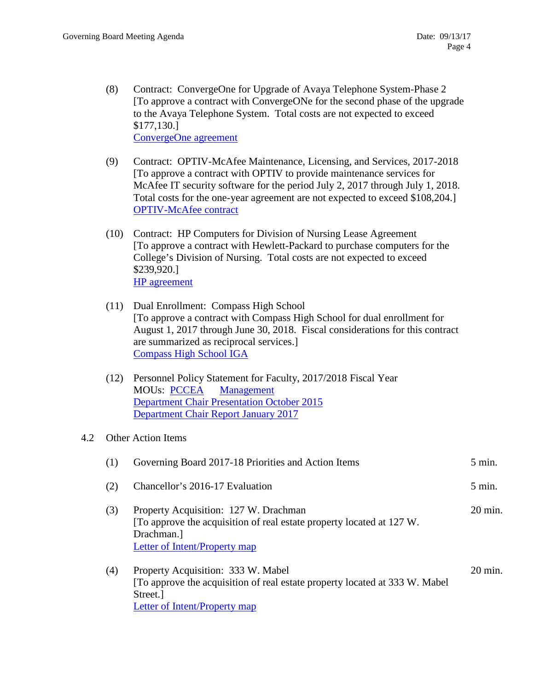- (8) Contract: ConvergeOne for Upgrade of Avaya Telephone System-Phase 2 [To approve a contract with ConvergeONe for the second phase of the upgrade to the Avaya Telephone System. Total costs are not expected to exceed \$177,130.] [ConvergeOne agreement](https://www.pima.edu/meeting-notices-support/2017-docs/201709-13-converge-one-avaya-phase-2.pdf)
- (9) Contract: OPTIV-McAfee Maintenance, Licensing, and Services, 2017-2018 [To approve a contract with OPTIV to provide maintenance services for McAfee IT security software for the period July 2, 2017 through July 1, 2018. Total costs for the one-year agreement are not expected to exceed \$108,204.] [OPTIV-McAfee contract](http://www.pima.edu/meeting-notices-support/2017-docs/201709-13-optiv-mcafee.pdf)
- (10) Contract: HP Computers for Division of Nursing Lease Agreement [To approve a contract with Hewlett-Packard to purchase computers for the College's Division of Nursing. Total costs are not expected to exceed \$239,920.] [HP agreement](http://www.pima.edu/meeting-notices-support/2017-docs/201709-13-hewlett-packard-agreement-nursing-division.pdf)
- (11) Dual Enrollment: Compass High School [To approve a contract with Compass High School for dual enrollment for August 1, 2017 through June 30, 2018. Fiscal considerations for this contract are summarized as reciprocal services.] [Compass High School IGA](http://www.pima.edu/meeting-notices-support/2017-docs/201709-13-compass-high-school-iga.pdf)
- (12) Personnel Policy Statement for Faculty, 2017/2018 Fiscal Year MOUs: [PCCEA](http://www.pima.edu/meeting-notices-support/2017-docs/201709-13-pccea-mous.pdf) [Management](http://www.pima.edu/meeting-notices-support/2017-docs/201709-13-management-mous.pdf) [Department Chair Presentation October 2015](http://www.pima.edu/meeting-notices-support/2017-docs/201709-13-dept-chair-presentation.pdf) [Department Chair Report January 2017](http://www.pima.edu/meeting-notices-support/2017-docs/201709-13-dept-chair-report.pdf)

# 4.2 Other Action Items

| (1) | Governing Board 2017-18 Priorities and Action Items                                                                                                            | $5$ min.           |
|-----|----------------------------------------------------------------------------------------------------------------------------------------------------------------|--------------------|
| (2) | Chancellor's 2016-17 Evaluation                                                                                                                                | $5 \text{ min}$ .  |
| (3) | Property Acquisition: 127 W. Drachman<br>[To approve the acquisition of real estate property located at 127 W.]<br>Drachman.<br>Letter of Intent/Property map  | $20 \text{ min}$ . |
| (4) | Property Acquisition: 333 W. Mabel<br>[To approve the acquisition of real estate property located at 333 W. Mabel]<br>Street.<br>Letter of Intent/Property map | $20 \text{ min}$ . |